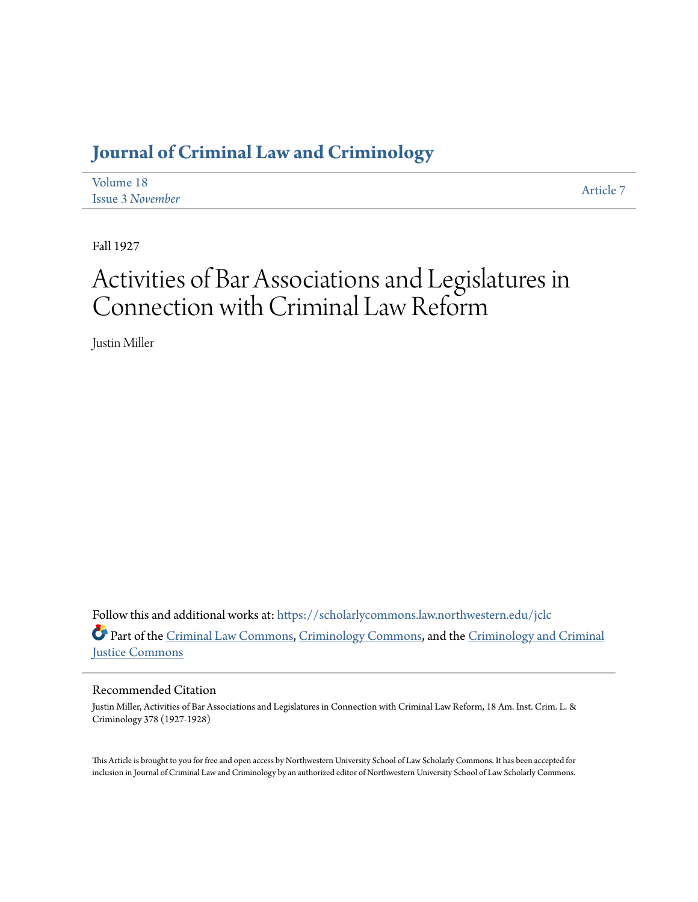# **[Journal of Criminal Law and Criminology](https://scholarlycommons.law.northwestern.edu/jclc?utm_source=scholarlycommons.law.northwestern.edu%2Fjclc%2Fvol18%2Fiss3%2F7&utm_medium=PDF&utm_campaign=PDFCoverPages)**

| Volume 18               | Article 7 |
|-------------------------|-----------|
| <b>Issue 3 November</b> |           |

Fall 1927

# Activities of Bar Associations and Legislatures in Connection with Criminal Law Reform

Justin Miller

Follow this and additional works at: [https://scholarlycommons.law.northwestern.edu/jclc](https://scholarlycommons.law.northwestern.edu/jclc?utm_source=scholarlycommons.law.northwestern.edu%2Fjclc%2Fvol18%2Fiss3%2F7&utm_medium=PDF&utm_campaign=PDFCoverPages) Part of the [Criminal Law Commons](http://network.bepress.com/hgg/discipline/912?utm_source=scholarlycommons.law.northwestern.edu%2Fjclc%2Fvol18%2Fiss3%2F7&utm_medium=PDF&utm_campaign=PDFCoverPages), [Criminology Commons](http://network.bepress.com/hgg/discipline/417?utm_source=scholarlycommons.law.northwestern.edu%2Fjclc%2Fvol18%2Fiss3%2F7&utm_medium=PDF&utm_campaign=PDFCoverPages), and the [Criminology and Criminal](http://network.bepress.com/hgg/discipline/367?utm_source=scholarlycommons.law.northwestern.edu%2Fjclc%2Fvol18%2Fiss3%2F7&utm_medium=PDF&utm_campaign=PDFCoverPages) [Justice Commons](http://network.bepress.com/hgg/discipline/367?utm_source=scholarlycommons.law.northwestern.edu%2Fjclc%2Fvol18%2Fiss3%2F7&utm_medium=PDF&utm_campaign=PDFCoverPages)

### Recommended Citation

Justin Miller, Activities of Bar Associations and Legislatures in Connection with Criminal Law Reform, 18 Am. Inst. Crim. L. & Criminology 378 (1927-1928)

This Article is brought to you for free and open access by Northwestern University School of Law Scholarly Commons. It has been accepted for inclusion in Journal of Criminal Law and Criminology by an authorized editor of Northwestern University School of Law Scholarly Commons.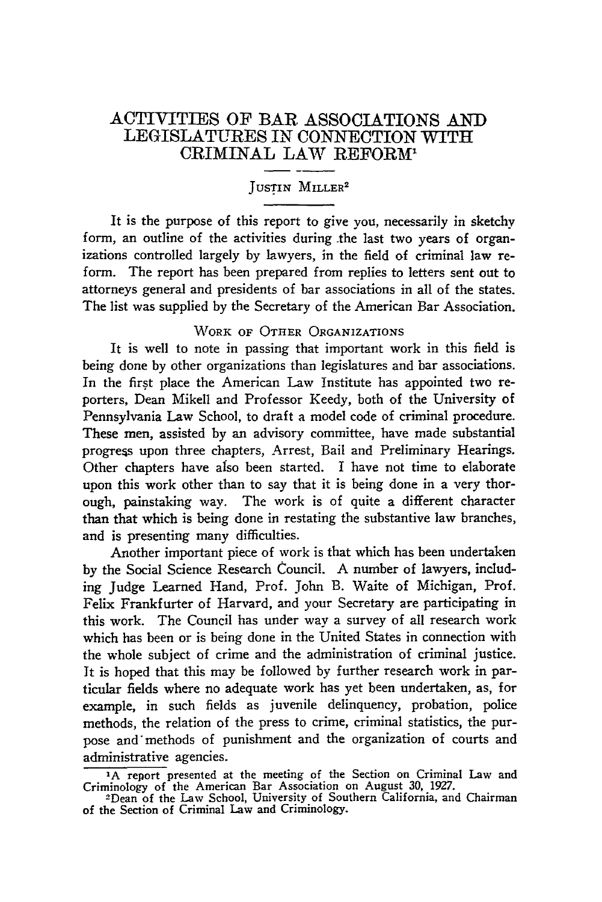## ACTIVITIES OF BAR **ASSOCIATIONS AND** LEGISLATURES IN **CONNECTION** WITH CRIMINAL *LAW* REFORM'

# **JUSTIN MILLER2**

It is the purpose of this report to give you, necessarily in sketchy form, an outline of the activities during .the last two years of organizations controlled largely by lawyers, in the field of criminal law reform. The report has been prepared from replies to letters sent out to attorneys general and presidents of bar associations in all of the states. The list was supplied by the Secretary of the American Bar Association.

#### WORK OF **OTHER** ORGANIZATIONS

It is well to note in passing that important work in this field is being done by other organizations than legislatures and bar associations. In the first place the American Law Institute has appointed two reporters, Dean Mikell and Professor Keedy, both of the University of Pennsylvania Law School, to draft a model code of criminal procedure. These men, assisted by an advisory committee, have made substantial progress upon three chapters, Arrest, Bail and Preliminary Hearings. Other chapters have also been started. I have not time to elaborate upon this work other than to say that it is being done in a very thorough, painstaking way. The work is of quite a different character than that which is being done in restating the substantive law branches, and is presenting many difficulties.

Another important piece of work is that which has been undertaken by the Social Science Research Council. A number of lawyers, including Judge Learned Hand, Prof. John B. Waite of Michigan, Prof. Felix Frankfurter of Harvard, and your Secretary are participating in this work. The Council has under way a survey of all research work which has been or is being done in the United States in connection with the whole subject of crime and the administration of criminal justice. It is hoped that this may be followed **by** further research work in particular fields where no adequate work has yet been undertaken, as, for example, in such fields as juvenile delinquency, probation, police methods, the relation of the press to crime, criminal statistics, the purpose and methods of punishment and the organization of courts and administrative agencies.

**<sup>&#</sup>x27;A** report presented at the meeting of the Section on Criminal Law and

Criminology of the American Bar Association on August **30, 1927.** 2 Dean of the **Law** School, University of Southern California, and Chairman of the Section of Criminal Law and Criminology.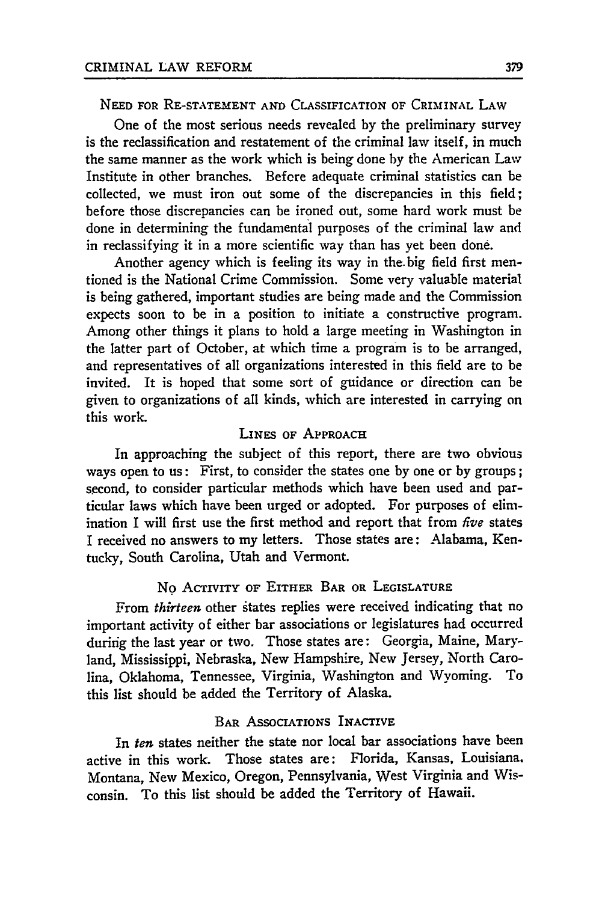#### NEED **FOR** RE-STATEMENT AND CLASSIFICATION OF CRIMINAL LAW

One of the most serious needs revealed by the preliminary survey is the reclassification and restatement of the criminal law itself, in much the same manner as the work which is being done by the American Law Institute in other branches. Before adequate criminal statistics can be collected, we must iron out some of the discrepancies in this field; before those discrepancies can be ironed out, some hard work must be done in determining the fundamental purposes of the criminal law and in reclassifying it in a more scientific way than has yet been done.

Another agency which is feeling its way in the. big field first mentioned is the National Crime Commission. Some very valuable material is being gathered, important studies are being made and the Commission expects soon to be in a position to initiate a constructive program. Among other things it plans to hold a large meeting in Washington in the latter part of October, at which time a program is to be arranged, and representatives of all organizations interested in this field are to be invited. It is hoped that some sort of guidance or direction can be given to organizations of all kinds, which are interested in carrying on this work.

#### LINES **OF APPROACH**

In approaching the subject of this report, there are two obvious ways open to us: First, to consider the states one by one or by groups; second, to consider particular methods which have been used and particular laws which have been urged or adopted. For purposes of elimination I will first use the first method and report that from *five* states I received no answers to my letters. Those states are: Alabama, Kentucky, South Carolina, Utah and Vermont.

#### No ACTIVITY OF EITHER BAR OR LEGISLATURE

From *thirteen* other states replies were received indicating that no important activity of either bar associations or legislatures had occurred during the last year or two. Those states are: Georgia, Maine, Maryland, Mississippi, Nebraska, New Hampshire, New Jersey, North Carolina, Oklahoma, Tennessee, Virginia, Washington and Wyoming. To this list should be added the Territory of Alaska.

#### BAR ASSOCIATIONS INACTIVE

In *ten* states neither the state nor local bar associations have been active in this work. Those states are: Florida, Kansas, Louisiana. Montana, New Mexico, Oregon, Pennsylvania, West Virginia and Wisconsin. To this list should be added the Territory of Hawaii.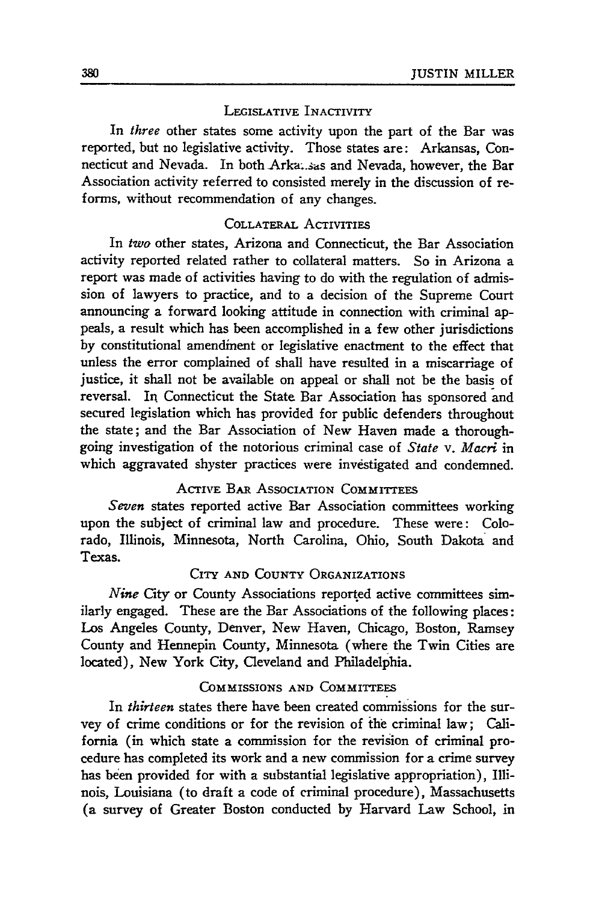#### LEGISLATIVE INACTIVITY

In *three* other states some activity upon the part of the Bar was reported, but no legislative activity. Those states are: Arkansas, Connecticut and Nevada. In both Arka. sas and Nevada, however, the Bar Association activity referred to consisted merely in the discussion of reforms, without recommendation of any changes.

#### COLLATERAL ACTIVITIES

In *two* other states, Arizona and Connecticut, the Bar Association activity reported related rather to collateral matters. So in Arizona a report was made of activities having to do with the regulation of admission of lawyers to practice, and to a decision of the Supreme Court announcing a forward looking attitude in connection with criminal appeals, a result which has been accomplished in a few other jurisdictions by constitutional amendment or legislative enactment to the effect that unless the error complained of shall have resulted in a miscarriage of justice, it shall not be available on appeal or shall not be the basis of reversal. In Connecticut the State Bar Association has sponsored and secured legislation which has provided for public defenders throughout the state; and the Bar Association of New Haven made a thoroughgoing investigation of the notorious criminal case of *State v. Macri* in which aggravated shyster practices were investigated and condemned.

#### ACTIVE **BAR ASSOCIATION** COMMITTEES

*Seven* states reported active Bar Association committees working upon the subject of criminal law and procedure. These were: Colorado, Illinois, Minnesota, North Carolina, Ohio, South Dakota and Texas.

#### CITY **AND COUNTY ORGANIZATIONS**

*Nine City* or County Associations reported active committees similarly engaged. These are the Bar Associations of the following places: Los Angeles County, Denver, New Haven, Chicago, Boston, Ramsey County and Hennepin County, Minnesota (where the Twin Cities are located), New York City, Cleveland and Philadelphia.

#### COMMISSIONS **AND** COMMITTEES

In *thirteen* states there have been created commissions for the survey of crime conditions or for the revision of the criminal law; California (in which state a commission for the revision of criminal procedure has completed its work and a new commission for a crime survey has been provided for with a substantial legislative appropriation), Illinois, Louisiana (to draft a code of criminal procedure), Massachusetts (a survey of Greater Boston conducted **by** Harvard Law School, in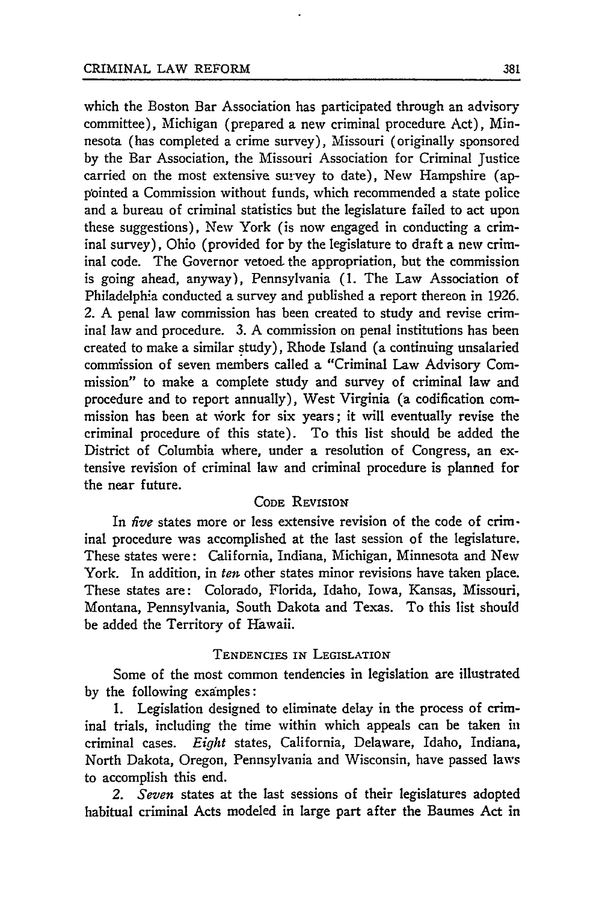which the Boston Bar Association has participated through an advisory committee), Michigan (prepared a new criminal procedure Act), Minnesota (has completed a crime survey), Missouri (originally sponsored by the Bar Association, the Missouri Association for Criminal Justice carried on the most extensive survey to date), New Hampshire (appointed a Commission without funds, which recommended a state police and a bureau of criminal statistics but the legislature failed to act upon these suggestions), New York (is now engaged in conducting a criminal survey), Ohio (provided for by the legislature to draft a new criminal code. The Governor vetoed the appropriation, but the commission is going ahead, anyway), Pennsylvania **(1.** The Law Association of Philadelphia conducted a survey and published a report thereon in 1926. 2. A penal law commission has been created to study and revise criminal law and procedure. 3. A commission on penal institutions has been created to make a similar study), Rhode Island (a continuing unsalaried commission of seven members called a "Criminal Law Advisory Commission" to make a complete study and survey of criminal law and procedure and to report annually), West Virginia (a codification commission has been at work for six years; it will eventually revise the criminal procedure of this state). To this list should be added the District of Columbia where, under a resolution of Congress, an extensive revision of criminal law and criminal procedure is planned for the near future.

#### **CODE** REVISION

In *five* states more or less extensive revision of the code of criminal procedure was accomplished at the last session of the legislature, These states were: California, Indiana, Michigan, Minnesota and New York. In addition, in ten other states minor revisions have taken place. These states are: Colorado, Florida, Idaho, Iowa, Kansas, Missouri, Montana, Pennsylvania, South Dakota and Texas. To this list should be added the Territory of Hawaii.

#### **TENDENCIES** IN LEGISLATION

Some of the most common tendencies in legislation are illustrated by the following examples:

1. Legislation designed to eliminate delay in the process of criminal trials, including the time within which appeals can be taken in criminal cases. *Eight* states, California, Delaware, Idaho, Indiana, North Dakota, Oregon, Pennsylvania and Wisconsin, have passed laws to accomplish this end.

*2. Seven* states at the last sessions of their legislatures adopted habitual criminal Acts modeled in large part after the Baumes Act in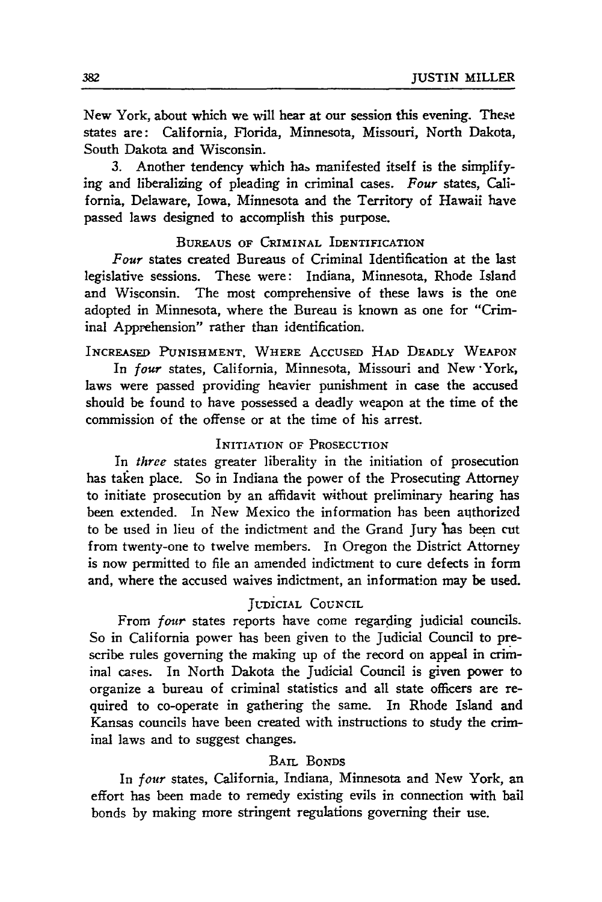New York, about which we will hear at our session this evening. These states are: California, Florida, Minnesota, Missouri, North Dakota, South Dakota and Wisconsin.

**3.** Another tendency which ha. manifested itself is the simplifying and liberalizing of pleading in criminal cases. *Four* states, California, Delaware, Iowa, Minnesota and the Territory of Hawaii have passed laws designed to accomplish this purpose.

#### **BUREAUS OF CRIMINAL IDENTIFICATION**

*Four* states created Bureaus of Criminal Identification at the last legislative sessions. These were: Indiana, Minnesota, Rhode Island and Wisconsin. The most comprehensive of these laws is the one adopted in Minnesota, where the Bureau is known as one for "Criminal Apprehension" rather than identification.

#### **INCREASED PUNISHMENT, WHERE ACCUSED HAD** DEADLY WEAPON

In *four* states, California, Minnesota, Missouri and New -York, laws were passed providing heavier punishment in case the accused should be found to have possessed a deadly weapon at the time of the commission of the offense or at the time of his arrest.

#### INITIATION **OF PROSECUTION**

In *three* states greater liberality in the initiation of prosecution has taken place. So in Indiana the power of the Prosecuting Attorney to initiate prosecution by an affidavit without preliminary hearing has been extended. In New Mexico the information has been authorized to be used in lieu of the indictment and the Grand Jury 'has been cut from twenty-one to twelve members. In Oregon the District Attorney is now permitted to file an amended indictment to cure defects in form and, where the accused waives indictment, an information may be used.

#### JUDICIAL **COUNCIL**

From *four* states reports have come regarding judicial councils. So in California power has been given to the Judicial Council to prescribe rules governing the making up of the record on appeal in criminal cases. In North Dakota the Judicial Council is given power to organize a bureau of criminal statistics and all state officers are required to co-operate in gathering the same. In Rhode Island and Kansas councils have been created with instructions to study the criminal laws and to suggest changes.

#### BAIL BONDS

In *four* states, California, Indiana, Minnesota and New York, an effort has been made to remedy existing evils in connection with bail bonds **by** making more stringent regulations governing their use.